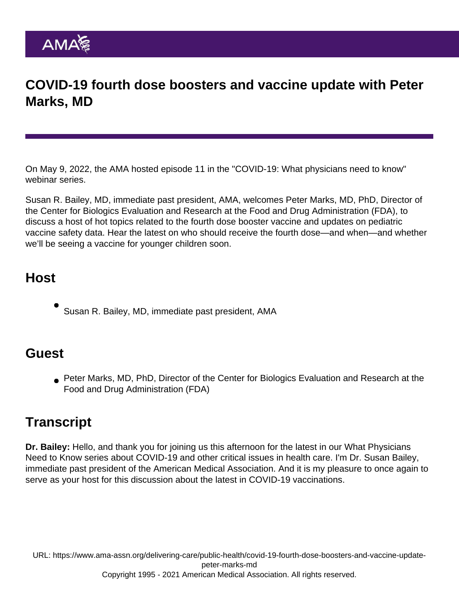## COVID-19 fourth dose boosters and vaccine update with Peter Marks, MD

On May 9, 2022, the AMA hosted episode 11 in the "[COVID-19: What physicians need to know"](https://www.ama-assn.org/delivering-care/public-health/covid-19-what-physicians-need-know-webinar-series) webinar series.

Susan R. Bailey, MD, immediate past president, AMA, welcomes Peter Marks, MD, PhD, Director of the Center for Biologics Evaluation and Research at the Food and Drug Administration (FDA), to discuss a host of hot topics related to the fourth dose booster vaccine and updates on pediatric vaccine safety data. Hear the latest on who should receive the fourth dose—and when—and whether we'll be seeing a vaccine for younger children soon.

## Host

Susan R. Bailey, MD, immediate past president, AMA

## **Guest**

Peter Marks, MD, PhD, Director of the Center for Biologics Evaluation and Research at the Food and Drug Administration (FDA)

## **Transcript**

Dr. Bailey: Hello, and thank you for joining us this afternoon for the latest in our What Physicians Need to Know series about COVID-19 and other critical issues in health care. I'm Dr. Susan Bailey, immediate past president of the American Medical Association. And it is my pleasure to once again to serve as your host for this discussion about the latest in COVID-19 vaccinations.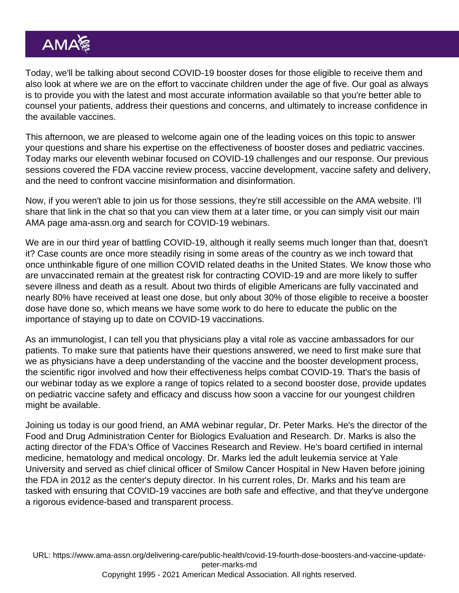Today, we'll be talking about second COVID-19 booster doses for those eligible to receive them and also look at where we are on the effort to vaccinate children under the age of five. Our goal as always is to provide you with the latest and most accurate information available so that you're better able to counsel your patients, address their questions and concerns, and ultimately to increase confidence in the available vaccines.

This afternoon, we are pleased to welcome again one of the leading voices on this topic to answer your questions and share his expertise on the effectiveness of booster doses and pediatric vaccines. Today marks our eleventh webinar focused on COVID-19 challenges and our response. Our previous sessions covered the FDA vaccine review process, vaccine development, vaccine safety and delivery, and the need to confront vaccine misinformation and disinformation.

Now, if you weren't able to join us for those sessions, they're still accessible on the AMA website. I'll share that link in the chat so that you can view them at a later time, or you can simply visit our main AMA page ama-assn.org and search for COVID-19 webinars.

We are in our third year of battling COVID-19, although it really seems much longer than that, doesn't it? Case counts are once more steadily rising in some areas of the country as we inch toward that once unthinkable figure of one million COVID related deaths in the United States. We know those who are unvaccinated remain at the greatest risk for contracting COVID-19 and are more likely to suffer severe illness and death as a result. About two thirds of eligible Americans are fully vaccinated and nearly 80% have received at least one dose, but only about 30% of those eligible to receive a booster dose have done so, which means we have some work to do here to educate the public on the importance of staying up to date on COVID-19 vaccinations.

As an immunologist, I can tell you that physicians play a vital role as vaccine ambassadors for our patients. To make sure that patients have their questions answered, we need to first make sure that we as physicians have a deep understanding of the vaccine and the booster development process, the scientific rigor involved and how their effectiveness helps combat COVID-19. That's the basis of our webinar today as we explore a range of topics related to a second booster dose, provide updates on pediatric vaccine safety and efficacy and discuss how soon a vaccine for our youngest children might be available.

Joining us today is our good friend, an AMA webinar regular, Dr. Peter Marks. He's the director of the Food and Drug Administration Center for Biologics Evaluation and Research. Dr. Marks is also the acting director of the FDA's Office of Vaccines Research and Review. He's board certified in internal medicine, hematology and medical oncology. Dr. Marks led the adult leukemia service at Yale University and served as chief clinical officer of Smilow Cancer Hospital in New Haven before joining the FDA in 2012 as the center's deputy director. In his current roles, Dr. Marks and his team are tasked with ensuring that COVID-19 vaccines are both safe and effective, and that they've undergone a rigorous evidence-based and transparent process.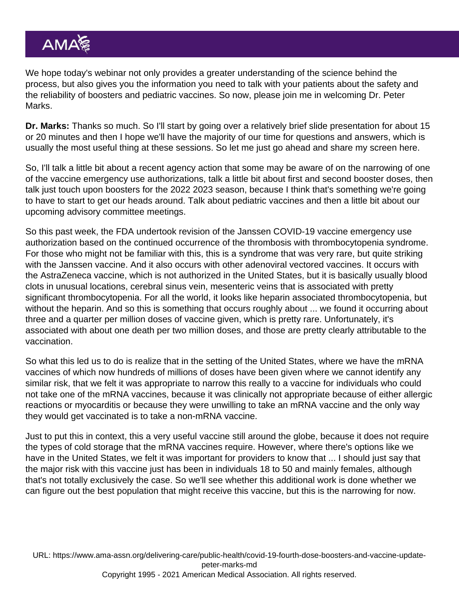We hope today's webinar not only provides a greater understanding of the science behind the process, but also gives you the information you need to talk with your patients about the safety and the reliability of boosters and pediatric vaccines. So now, please join me in welcoming Dr. Peter Marks.

Dr. Marks: Thanks so much. So I'll start by going over a relatively brief slide presentation for about 15 or 20 minutes and then I hope we'll have the majority of our time for questions and answers, which is usually the most useful thing at these sessions. So let me just go ahead and share my screen here.

So, I'll talk a little bit about a recent agency action that some may be aware of on the narrowing of one of the vaccine emergency use authorizations, talk a little bit about first and second booster doses, then talk just touch upon boosters for the 2022 2023 season, because I think that's something we're going to have to start to get our heads around. Talk about pediatric vaccines and then a little bit about our upcoming advisory committee meetings.

So this past week, the FDA undertook revision of the Janssen COVID-19 vaccine emergency use authorization based on the continued occurrence of the thrombosis with thrombocytopenia syndrome. For those who might not be familiar with this, this is a syndrome that was very rare, but quite striking with the Janssen vaccine. And it also occurs with other adenoviral vectored vaccines. It occurs with the AstraZeneca vaccine, which is not authorized in the United States, but it is basically usually blood clots in unusual locations, cerebral sinus vein, mesenteric veins that is associated with pretty significant thrombocytopenia. For all the world, it looks like heparin associated thrombocytopenia, but without the heparin. And so this is something that occurs roughly about ... we found it occurring about three and a quarter per million doses of vaccine given, which is pretty rare. Unfortunately, it's associated with about one death per two million doses, and those are pretty clearly attributable to the vaccination.

So what this led us to do is realize that in the setting of the United States, where we have the mRNA vaccines of which now hundreds of millions of doses have been given where we cannot identify any similar risk, that we felt it was appropriate to narrow this really to a vaccine for individuals who could not take one of the mRNA vaccines, because it was clinically not appropriate because of either allergic reactions or myocarditis or because they were unwilling to take an mRNA vaccine and the only way they would get vaccinated is to take a non-mRNA vaccine.

Just to put this in context, this a very useful vaccine still around the globe, because it does not require the types of cold storage that the mRNA vaccines require. However, where there's options like we have in the United States, we felt it was important for providers to know that ... I should just say that the major risk with this vaccine just has been in individuals 18 to 50 and mainly females, although that's not totally exclusively the case. So we'll see whether this additional work is done whether we can figure out the best population that might receive this vaccine, but this is the narrowing for now.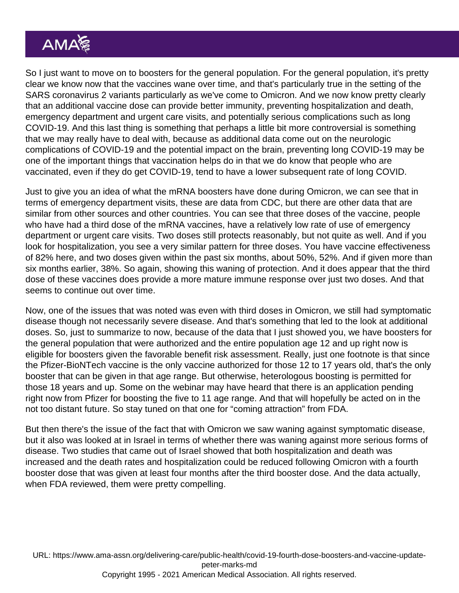So I just want to move on to boosters for the general population. For the general population, it's pretty clear we know now that the vaccines wane over time, and that's particularly true in the setting of the SARS coronavirus 2 variants particularly as we've come to Omicron. And we now know pretty clearly that an additional vaccine dose can provide better immunity, preventing hospitalization and death, emergency department and urgent care visits, and potentially serious complications such as long COVID-19. And this last thing is something that perhaps a little bit more controversial is something that we may really have to deal with, because as additional data come out on the neurologic complications of COVID-19 and the potential impact on the brain, preventing long COVID-19 may be one of the important things that vaccination helps do in that we do know that people who are vaccinated, even if they do get COVID-19, tend to have a lower subsequent rate of long COVID.

Just to give you an idea of what the mRNA boosters have done during Omicron, we can see that in terms of emergency department visits, these are data from CDC, but there are other data that are similar from other sources and other countries. You can see that three doses of the vaccine, people who have had a third dose of the mRNA vaccines, have a relatively low rate of use of emergency department or urgent care visits. Two doses still protects reasonably, but not quite as well. And if you look for hospitalization, you see a very similar pattern for three doses. You have vaccine effectiveness of 82% here, and two doses given within the past six months, about 50%, 52%. And if given more than six months earlier, 38%. So again, showing this waning of protection. And it does appear that the third dose of these vaccines does provide a more mature immune response over just two doses. And that seems to continue out over time.

Now, one of the issues that was noted was even with third doses in Omicron, we still had symptomatic disease though not necessarily severe disease. And that's something that led to the look at additional doses. So, just to summarize to now, because of the data that I just showed you, we have boosters for the general population that were authorized and the entire population age 12 and up right now is eligible for boosters given the favorable benefit risk assessment. Really, just one footnote is that since the Pfizer-BioNTech vaccine is the only vaccine authorized for those 12 to 17 years old, that's the only booster that can be given in that age range. But otherwise, heterologous boosting is permitted for those 18 years and up. Some on the webinar may have heard that there is an application pending right now from Pfizer for boosting the five to 11 age range. And that will hopefully be acted on in the not too distant future. So stay tuned on that one for "coming attraction" from FDA.

But then there's the issue of the fact that with Omicron we saw waning against symptomatic disease, but it also was looked at in Israel in terms of whether there was waning against more serious forms of disease. Two studies that came out of Israel showed that both hospitalization and death was increased and the death rates and hospitalization could be reduced following Omicron with a fourth booster dose that was given at least four months after the third booster dose. And the data actually, when FDA reviewed, them were pretty compelling.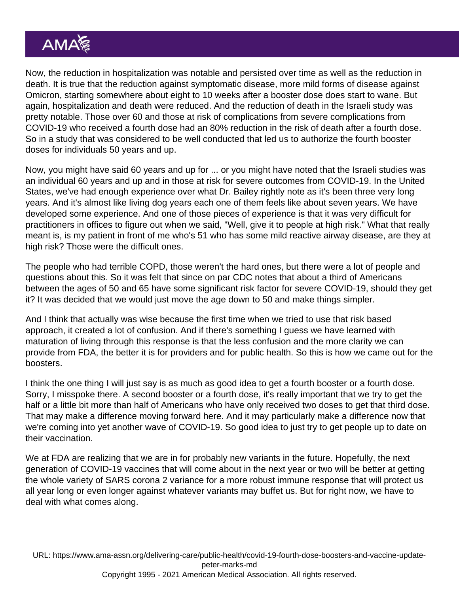Now, the reduction in hospitalization was notable and persisted over time as well as the reduction in death. It is true that the reduction against symptomatic disease, more mild forms of disease against Omicron, starting somewhere about eight to 10 weeks after a booster dose does start to wane. But again, hospitalization and death were reduced. And the reduction of death in the Israeli study was pretty notable. Those over 60 and those at risk of complications from severe complications from COVID-19 who received a fourth dose had an 80% reduction in the risk of death after a fourth dose. So in a study that was considered to be well conducted that led us to authorize the fourth booster doses for individuals 50 years and up.

Now, you might have said 60 years and up for ... or you might have noted that the Israeli studies was an individual 60 years and up and in those at risk for severe outcomes from COVID-19. In the United States, we've had enough experience over what Dr. Bailey rightly note as it's been three very long years. And it's almost like living dog years each one of them feels like about seven years. We have developed some experience. And one of those pieces of experience is that it was very difficult for practitioners in offices to figure out when we said, "Well, give it to people at high risk." What that really meant is, is my patient in front of me who's 51 who has some mild reactive airway disease, are they at high risk? Those were the difficult ones.

The people who had terrible COPD, those weren't the hard ones, but there were a lot of people and questions about this. So it was felt that since on par CDC notes that about a third of Americans between the ages of 50 and 65 have some significant risk factor for severe COVID-19, should they get it? It was decided that we would just move the age down to 50 and make things simpler.

And I think that actually was wise because the first time when we tried to use that risk based approach, it created a lot of confusion. And if there's something I guess we have learned with maturation of living through this response is that the less confusion and the more clarity we can provide from FDA, the better it is for providers and for public health. So this is how we came out for the boosters.

I think the one thing I will just say is as much as good idea to get a fourth booster or a fourth dose. Sorry, I misspoke there. A second booster or a fourth dose, it's really important that we try to get the half or a little bit more than half of Americans who have only received two doses to get that third dose. That may make a difference moving forward here. And it may particularly make a difference now that we're coming into yet another wave of COVID-19. So good idea to just try to get people up to date on their vaccination.

We at FDA are realizing that we are in for probably new variants in the future. Hopefully, the next generation of COVID-19 vaccines that will come about in the next year or two will be better at getting the whole variety of SARS corona 2 variance for a more robust immune response that will protect us all year long or even longer against whatever variants may buffet us. But for right now, we have to deal with what comes along.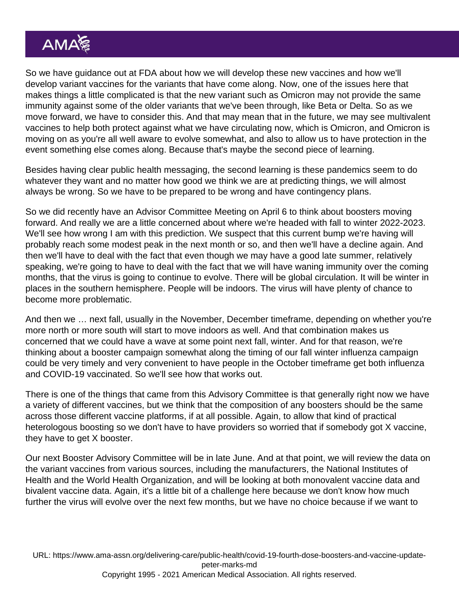So we have guidance out at FDA about how we will develop these new vaccines and how we'll develop variant vaccines for the variants that have come along. Now, one of the issues here that makes things a little complicated is that the new variant such as Omicron may not provide the same immunity against some of the older variants that we've been through, like Beta or Delta. So as we move forward, we have to consider this. And that may mean that in the future, we may see multivalent vaccines to help both protect against what we have circulating now, which is Omicron, and Omicron is moving on as you're all well aware to evolve somewhat, and also to allow us to have protection in the event something else comes along. Because that's maybe the second piece of learning.

Besides having clear public health messaging, the second learning is these pandemics seem to do whatever they want and no matter how good we think we are at predicting things, we will almost always be wrong. So we have to be prepared to be wrong and have contingency plans.

So we did recently have an Advisor Committee Meeting on April 6 to think about boosters moving forward. And really we are a little concerned about where we're headed with fall to winter 2022-2023. We'll see how wrong I am with this prediction. We suspect that this current bump we're having will probably reach some modest peak in the next month or so, and then we'll have a decline again. And then we'll have to deal with the fact that even though we may have a good late summer, relatively speaking, we're going to have to deal with the fact that we will have waning immunity over the coming months, that the virus is going to continue to evolve. There will be global circulation. It will be winter in places in the southern hemisphere. People will be indoors. The virus will have plenty of chance to become more problematic.

And then we … next fall, usually in the November, December timeframe, depending on whether you're more north or more south will start to move indoors as well. And that combination makes us concerned that we could have a wave at some point next fall, winter. And for that reason, we're thinking about a booster campaign somewhat along the timing of our fall winter influenza campaign could be very timely and very convenient to have people in the October timeframe get both influenza and COVID-19 vaccinated. So we'll see how that works out.

There is one of the things that came from this Advisory Committee is that generally right now we have a variety of different vaccines, but we think that the composition of any boosters should be the same across those different vaccine platforms, if at all possible. Again, to allow that kind of practical heterologous boosting so we don't have to have providers so worried that if somebody got X vaccine, they have to get X booster.

Our next Booster Advisory Committee will be in late June. And at that point, we will review the data on the variant vaccines from various sources, including the manufacturers, the National Institutes of Health and the World Health Organization, and will be looking at both monovalent vaccine data and bivalent vaccine data. Again, it's a little bit of a challenge here because we don't know how much further the virus will evolve over the next few months, but we have no choice because if we want to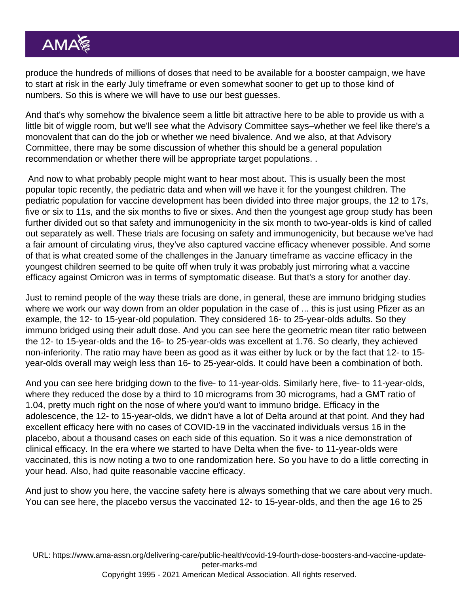produce the hundreds of millions of doses that need to be available for a booster campaign, we have to start at risk in the early July timeframe or even somewhat sooner to get up to those kind of numbers. So this is where we will have to use our best guesses.

And that's why somehow the bivalence seem a little bit attractive here to be able to provide us with a little bit of wiggle room, but we'll see what the Advisory Committee says–whether we feel like there's a monovalent that can do the job or whether we need bivalence. And we also, at that Advisory Committee, there may be some discussion of whether this should be a general population recommendation or whether there will be appropriate target populations. .

 And now to what probably people might want to hear most about. This is usually been the most popular topic recently, the pediatric data and when will we have it for the youngest children. The pediatric population for vaccine development has been divided into three major groups, the 12 to 17s, five or six to 11s, and the six months to five or sixes. And then the youngest age group study has been further divided out so that safety and immunogenicity in the six month to two-year-olds is kind of called out separately as well. These trials are focusing on safety and immunogenicity, but because we've had a fair amount of circulating virus, they've also captured vaccine efficacy whenever possible. And some of that is what created some of the challenges in the January timeframe as vaccine efficacy in the youngest children seemed to be quite off when truly it was probably just mirroring what a vaccine efficacy against Omicron was in terms of symptomatic disease. But that's a story for another day.

Just to remind people of the way these trials are done, in general, these are immuno bridging studies where we work our way down from an older population in the case of ... this is just using Pfizer as an example, the 12- to 15-year-old population. They considered 16- to 25-year-olds adults. So they immuno bridged using their adult dose. And you can see here the geometric mean titer ratio between the 12- to 15-year-olds and the 16- to 25-year-olds was excellent at 1.76. So clearly, they achieved non-inferiority. The ratio may have been as good as it was either by luck or by the fact that 12- to 15 year-olds overall may weigh less than 16- to 25-year-olds. It could have been a combination of both.

And you can see here bridging down to the five- to 11-year-olds. Similarly here, five- to 11-year-olds, where they reduced the dose by a third to 10 micrograms from 30 micrograms, had a GMT ratio of 1.04, pretty much right on the nose of where you'd want to immuno bridge. Efficacy in the adolescence, the 12- to 15-year-olds, we didn't have a lot of Delta around at that point. And they had excellent efficacy here with no cases of COVID-19 in the vaccinated individuals versus 16 in the placebo, about a thousand cases on each side of this equation. So it was a nice demonstration of clinical efficacy. In the era where we started to have Delta when the five- to 11-year-olds were vaccinated, this is now noting a two to one randomization here. So you have to do a little correcting in your head. Also, had quite reasonable vaccine efficacy.

And just to show you here, the vaccine safety here is always something that we care about very much. You can see here, the placebo versus the vaccinated 12- to 15-year-olds, and then the age 16 to 25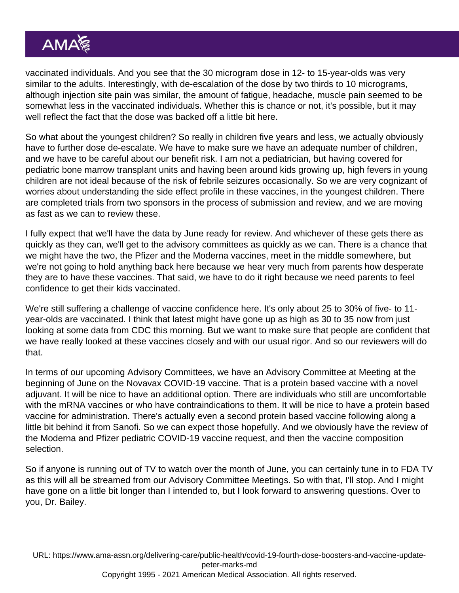vaccinated individuals. And you see that the 30 microgram dose in 12- to 15-year-olds was very similar to the adults. Interestingly, with de-escalation of the dose by two thirds to 10 micrograms, although injection site pain was similar, the amount of fatigue, headache, muscle pain seemed to be somewhat less in the vaccinated individuals. Whether this is chance or not, it's possible, but it may well reflect the fact that the dose was backed off a little bit here.

So what about the youngest children? So really in children five years and less, we actually obviously have to further dose de-escalate. We have to make sure we have an adequate number of children, and we have to be careful about our benefit risk. I am not a pediatrician, but having covered for pediatric bone marrow transplant units and having been around kids growing up, high fevers in young children are not ideal because of the risk of febrile seizures occasionally. So we are very cognizant of worries about understanding the side effect profile in these vaccines, in the youngest children. There are completed trials from two sponsors in the process of submission and review, and we are moving as fast as we can to review these.

I fully expect that we'll have the data by June ready for review. And whichever of these gets there as quickly as they can, we'll get to the advisory committees as quickly as we can. There is a chance that we might have the two, the Pfizer and the Moderna vaccines, meet in the middle somewhere, but we're not going to hold anything back here because we hear very much from parents how desperate they are to have these vaccines. That said, we have to do it right because we need parents to feel confidence to get their kids vaccinated.

We're still suffering a challenge of vaccine confidence here. It's only about 25 to 30% of five- to 11 year-olds are vaccinated. I think that latest might have gone up as high as 30 to 35 now from just looking at some data from CDC this morning. But we want to make sure that people are confident that we have really looked at these vaccines closely and with our usual rigor. And so our reviewers will do that.

In terms of our upcoming Advisory Committees, we have an Advisory Committee at Meeting at the beginning of June on the Novavax COVID-19 vaccine. That is a protein based vaccine with a novel adjuvant. It will be nice to have an additional option. There are individuals who still are uncomfortable with the mRNA vaccines or who have contraindications to them. It will be nice to have a protein based vaccine for administration. There's actually even a second protein based vaccine following along a little bit behind it from Sanofi. So we can expect those hopefully. And we obviously have the review of the Moderna and Pfizer pediatric COVID-19 vaccine request, and then the vaccine composition selection.

So if anyone is running out of TV to watch over the month of June, you can certainly tune in to FDA TV as this will all be streamed from our Advisory Committee Meetings. So with that, I'll stop. And I might have gone on a little bit longer than I intended to, but I look forward to answering questions. Over to you, Dr. Bailey.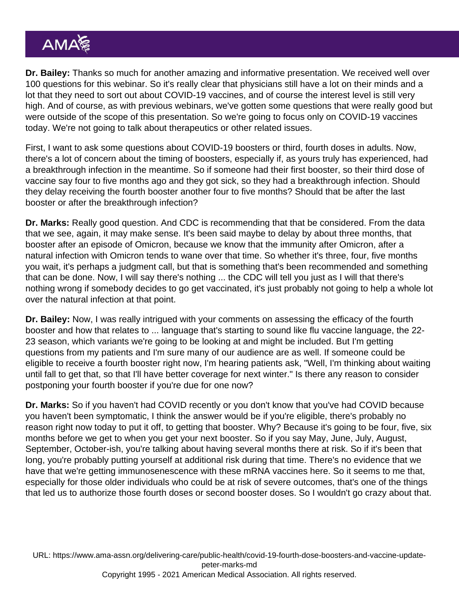Dr. Bailey: Thanks so much for another amazing and informative presentation. We received well over 100 questions for this webinar. So it's really clear that physicians still have a lot on their minds and a lot that they need to sort out about COVID-19 vaccines, and of course the interest level is still very high. And of course, as with previous webinars, we've gotten some questions that were really good but were outside of the scope of this presentation. So we're going to focus only on COVID-19 vaccines today. We're not going to talk about therapeutics or other related issues.

First, I want to ask some questions about COVID-19 boosters or third, fourth doses in adults. Now, there's a lot of concern about the timing of boosters, especially if, as yours truly has experienced, had a breakthrough infection in the meantime. So if someone had their first booster, so their third dose of vaccine say four to five months ago and they got sick, so they had a breakthrough infection. Should they delay receiving the fourth booster another four to five months? Should that be after the last booster or after the breakthrough infection?

Dr. Marks: Really good question. And CDC is recommending that that be considered. From the data that we see, again, it may make sense. It's been said maybe to delay by about three months, that booster after an episode of Omicron, because we know that the immunity after Omicron, after a natural infection with Omicron tends to wane over that time. So whether it's three, four, five months you wait, it's perhaps a judgment call, but that is something that's been recommended and something that can be done. Now, I will say there's nothing ... the CDC will tell you just as I will that there's nothing wrong if somebody decides to go get vaccinated, it's just probably not going to help a whole lot over the natural infection at that point.

Dr. Bailey: Now, I was really intrigued with your comments on assessing the efficacy of the fourth booster and how that relates to ... language that's starting to sound like flu vaccine language, the 22- 23 season, which variants we're going to be looking at and might be included. But I'm getting questions from my patients and I'm sure many of our audience are as well. If someone could be eligible to receive a fourth booster right now, I'm hearing patients ask, "Well, I'm thinking about waiting until fall to get that, so that I'll have better coverage for next winter." Is there any reason to consider postponing your fourth booster if you're due for one now?

Dr. Marks: So if you haven't had COVID recently or you don't know that you've had COVID because you haven't been symptomatic, I think the answer would be if you're eligible, there's probably no reason right now today to put it off, to getting that booster. Why? Because it's going to be four, five, six months before we get to when you get your next booster. So if you say May, June, July, August, September, October-ish, you're talking about having several months there at risk. So if it's been that long, you're probably putting yourself at additional risk during that time. There's no evidence that we have that we're getting immunosenescence with these mRNA vaccines here. So it seems to me that, especially for those older individuals who could be at risk of severe outcomes, that's one of the things that led us to authorize those fourth doses or second booster doses. So I wouldn't go crazy about that.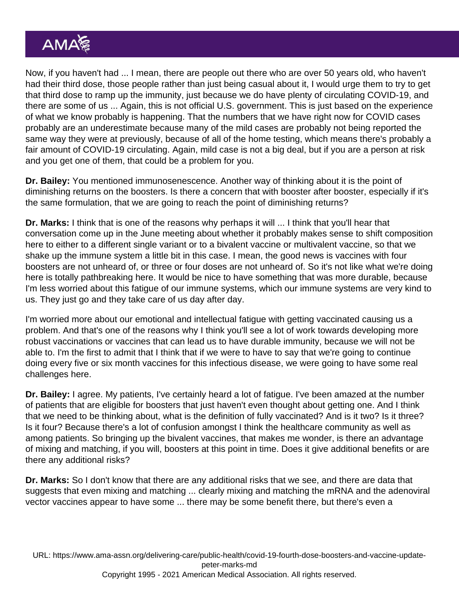Now, if you haven't had ... I mean, there are people out there who are over 50 years old, who haven't had their third dose, those people rather than just being casual about it, I would urge them to try to get that third dose to ramp up the immunity, just because we do have plenty of circulating COVID-19, and there are some of us ... Again, this is not official U.S. government. This is just based on the experience of what we know probably is happening. That the numbers that we have right now for COVID cases probably are an underestimate because many of the mild cases are probably not being reported the same way they were at previously, because of all of the home testing, which means there's probably a fair amount of COVID-19 circulating. Again, mild case is not a big deal, but if you are a person at risk and you get one of them, that could be a problem for you.

Dr. Bailey: You mentioned immunosenescence. Another way of thinking about it is the point of diminishing returns on the boosters. Is there a concern that with booster after booster, especially if it's the same formulation, that we are going to reach the point of diminishing returns?

Dr. Marks: I think that is one of the reasons why perhaps it will ... I think that you'll hear that conversation come up in the June meeting about whether it probably makes sense to shift composition here to either to a different single variant or to a bivalent vaccine or multivalent vaccine, so that we shake up the immune system a little bit in this case. I mean, the good news is vaccines with four boosters are not unheard of, or three or four doses are not unheard of. So it's not like what we're doing here is totally pathbreaking here. It would be nice to have something that was more durable, because I'm less worried about this fatigue of our immune systems, which our immune systems are very kind to us. They just go and they take care of us day after day.

I'm worried more about our emotional and intellectual fatigue with getting vaccinated causing us a problem. And that's one of the reasons why I think you'll see a lot of work towards developing more robust vaccinations or vaccines that can lead us to have durable immunity, because we will not be able to. I'm the first to admit that I think that if we were to have to say that we're going to continue doing every five or six month vaccines for this infectious disease, we were going to have some real challenges here.

Dr. Bailey: I agree. My patients, I've certainly heard a lot of fatigue. I've been amazed at the number of patients that are eligible for boosters that just haven't even thought about getting one. And I think that we need to be thinking about, what is the definition of fully vaccinated? And is it two? Is it three? Is it four? Because there's a lot of confusion amongst I think the healthcare community as well as among patients. So bringing up the bivalent vaccines, that makes me wonder, is there an advantage of mixing and matching, if you will, boosters at this point in time. Does it give additional benefits or are there any additional risks?

Dr. Marks: So I don't know that there are any additional risks that we see, and there are data that suggests that even mixing and matching ... clearly mixing and matching the mRNA and the adenoviral vector vaccines appear to have some ... there may be some benefit there, but there's even a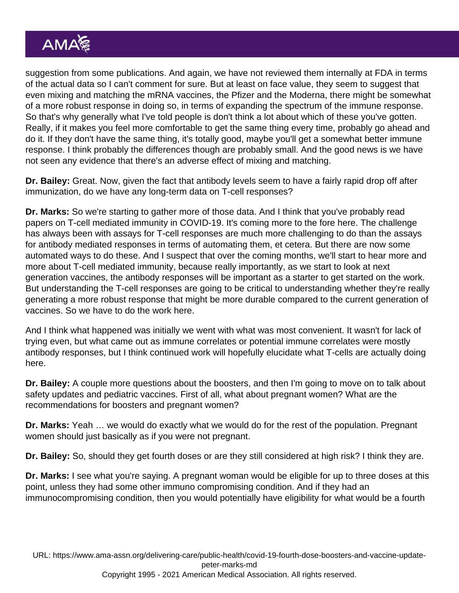suggestion from some publications. And again, we have not reviewed them internally at FDA in terms of the actual data so I can't comment for sure. But at least on face value, they seem to suggest that even mixing and matching the mRNA vaccines, the Pfizer and the Moderna, there might be somewhat of a more robust response in doing so, in terms of expanding the spectrum of the immune response. So that's why generally what I've told people is don't think a lot about which of these you've gotten. Really, if it makes you feel more comfortable to get the same thing every time, probably go ahead and do it. If they don't have the same thing, it's totally good, maybe you'll get a somewhat better immune response. I think probably the differences though are probably small. And the good news is we have not seen any evidence that there's an adverse effect of mixing and matching.

Dr. Bailey: Great. Now, given the fact that antibody levels seem to have a fairly rapid drop off after immunization, do we have any long-term data on T-cell responses?

Dr. Marks: So we're starting to gather more of those data. And I think that you've probably read papers on T-cell mediated immunity in COVID-19. It's coming more to the fore here. The challenge has always been with assays for T-cell responses are much more challenging to do than the assays for antibody mediated responses in terms of automating them, et cetera. But there are now some automated ways to do these. And I suspect that over the coming months, we'll start to hear more and more about T-cell mediated immunity, because really importantly, as we start to look at next generation vaccines, the antibody responses will be important as a starter to get started on the work. But understanding the T-cell responses are going to be critical to understanding whether they're really generating a more robust response that might be more durable compared to the current generation of vaccines. So we have to do the work here.

And I think what happened was initially we went with what was most convenient. It wasn't for lack of trying even, but what came out as immune correlates or potential immune correlates were mostly antibody responses, but I think continued work will hopefully elucidate what T-cells are actually doing here.

Dr. Bailey: A couple more questions about the boosters, and then I'm going to move on to talk about safety updates and pediatric vaccines. First of all, what about pregnant women? What are the recommendations for boosters and pregnant women?

Dr. Marks: Yeah … we would do exactly what we would do for the rest of the population. Pregnant women should just basically as if you were not pregnant.

Dr. Bailey: So, should they get fourth doses or are they still considered at high risk? I think they are.

Dr. Marks: I see what you're saying. A pregnant woman would be eligible for up to three doses at this point, unless they had some other immuno compromising condition. And if they had an immunocompromising condition, then you would potentially have eligibility for what would be a fourth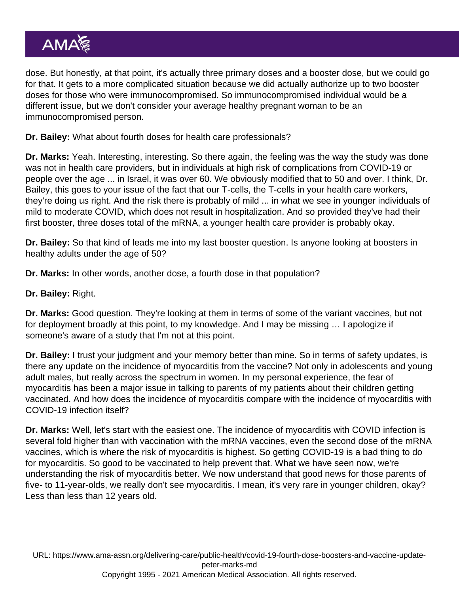dose. But honestly, at that point, it's actually three primary doses and a booster dose, but we could go for that. It gets to a more complicated situation because we did actually authorize up to two booster doses for those who were immunocompromised. So immunocompromised individual would be a different issue, but we don't consider your average healthy pregnant woman to be an immunocompromised person.

Dr. Bailey: What about fourth doses for health care professionals?

Dr. Marks: Yeah. Interesting, interesting. So there again, the feeling was the way the study was done was not in health care providers, but in individuals at high risk of complications from COVID-19 or people over the age ... in Israel, it was over 60. We obviously modified that to 50 and over. I think, Dr. Bailey, this goes to your issue of the fact that our T-cells, the T-cells in your health care workers, they're doing us right. And the risk there is probably of mild ... in what we see in younger individuals of mild to moderate COVID, which does not result in hospitalization. And so provided they've had their first booster, three doses total of the mRNA, a younger health care provider is probably okay.

Dr. Bailey: So that kind of leads me into my last booster question. Is anyone looking at boosters in healthy adults under the age of 50?

Dr. Marks: In other words, another dose, a fourth dose in that population?

Dr. Bailey: Right.

Dr. Marks: Good question. They're looking at them in terms of some of the variant vaccines, but not for deployment broadly at this point, to my knowledge. And I may be missing … I apologize if someone's aware of a study that I'm not at this point.

Dr. Bailey: I trust your judgment and your memory better than mine. So in terms of safety updates, is there any update on the incidence of myocarditis from the vaccine? Not only in adolescents and young adult males, but really across the spectrum in women. In my personal experience, the fear of myocarditis has been a major issue in talking to parents of my patients about their children getting vaccinated. And how does the incidence of myocarditis compare with the incidence of myocarditis with COVID-19 infection itself?

Dr. Marks: Well, let's start with the easiest one. The incidence of myocarditis with COVID infection is several fold higher than with vaccination with the mRNA vaccines, even the second dose of the mRNA vaccines, which is where the risk of myocarditis is highest. So getting COVID-19 is a bad thing to do for myocarditis. So good to be vaccinated to help prevent that. What we have seen now, we're understanding the risk of myocarditis better. We now understand that good news for those parents of five- to 11-year-olds, we really don't see myocarditis. I mean, it's very rare in younger children, okay? Less than less than 12 years old.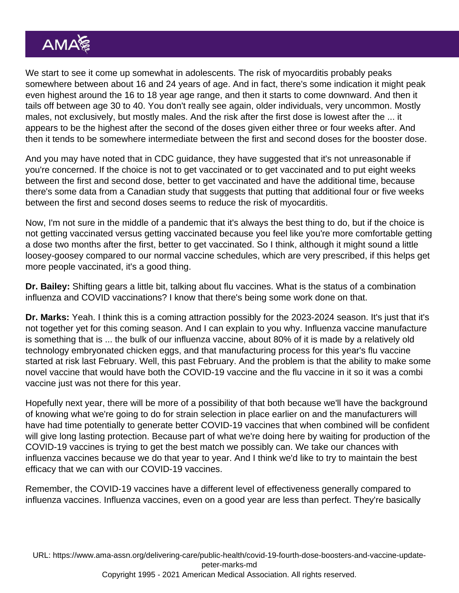We start to see it come up somewhat in adolescents. The risk of myocarditis probably peaks somewhere between about 16 and 24 years of age. And in fact, there's some indication it might peak even highest around the 16 to 18 year age range, and then it starts to come downward. And then it tails off between age 30 to 40. You don't really see again, older individuals, very uncommon. Mostly males, not exclusively, but mostly males. And the risk after the first dose is lowest after the ... it appears to be the highest after the second of the doses given either three or four weeks after. And then it tends to be somewhere intermediate between the first and second doses for the booster dose.

And you may have noted that in CDC guidance, they have suggested that it's not unreasonable if you're concerned. If the choice is not to get vaccinated or to get vaccinated and to put eight weeks between the first and second dose, better to get vaccinated and have the additional time, because there's some data from a Canadian study that suggests that putting that additional four or five weeks between the first and second doses seems to reduce the risk of myocarditis.

Now, I'm not sure in the middle of a pandemic that it's always the best thing to do, but if the choice is not getting vaccinated versus getting vaccinated because you feel like you're more comfortable getting a dose two months after the first, better to get vaccinated. So I think, although it might sound a little loosey-goosey compared to our normal vaccine schedules, which are very prescribed, if this helps get more people vaccinated, it's a good thing.

Dr. Bailey: Shifting gears a little bit, talking about flu vaccines. What is the status of a combination influenza and COVID vaccinations? I know that there's being some work done on that.

Dr. Marks: Yeah. I think this is a coming attraction possibly for the 2023-2024 season. It's just that it's not together yet for this coming season. And I can explain to you why. Influenza vaccine manufacture is something that is ... the bulk of our influenza vaccine, about 80% of it is made by a relatively old technology embryonated chicken eggs, and that manufacturing process for this year's flu vaccine started at risk last February. Well, this past February. And the problem is that the ability to make some novel vaccine that would have both the COVID-19 vaccine and the flu vaccine in it so it was a combi vaccine just was not there for this year.

Hopefully next year, there will be more of a possibility of that both because we'll have the background of knowing what we're going to do for strain selection in place earlier on and the manufacturers will have had time potentially to generate better COVID-19 vaccines that when combined will be confident will give long lasting protection. Because part of what we're doing here by waiting for production of the COVID-19 vaccines is trying to get the best match we possibly can. We take our chances with influenza vaccines because we do that year to year. And I think we'd like to try to maintain the best efficacy that we can with our COVID-19 vaccines.

Remember, the COVID-19 vaccines have a different level of effectiveness generally compared to influenza vaccines. Influenza vaccines, even on a good year are less than perfect. They're basically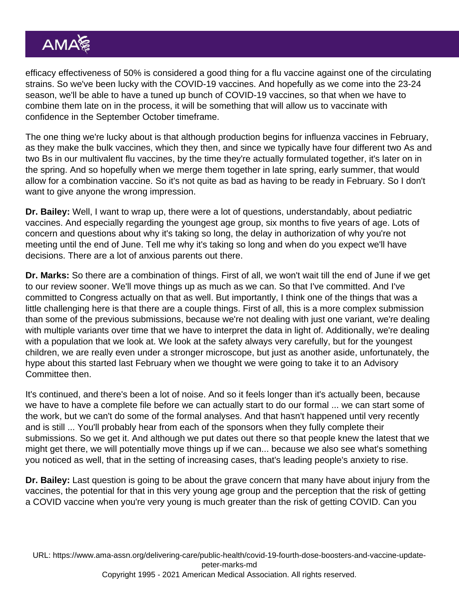efficacy effectiveness of 50% is considered a good thing for a flu vaccine against one of the circulating strains. So we've been lucky with the COVID-19 vaccines. And hopefully as we come into the 23-24 season, we'll be able to have a tuned up bunch of COVID-19 vaccines, so that when we have to combine them late on in the process, it will be something that will allow us to vaccinate with confidence in the September October timeframe.

The one thing we're lucky about is that although production begins for influenza vaccines in February, as they make the bulk vaccines, which they then, and since we typically have four different two As and two Bs in our multivalent flu vaccines, by the time they're actually formulated together, it's later on in the spring. And so hopefully when we merge them together in late spring, early summer, that would allow for a combination vaccine. So it's not quite as bad as having to be ready in February. So I don't want to give anyone the wrong impression.

Dr. Bailey: Well, I want to wrap up, there were a lot of questions, understandably, about pediatric vaccines. And especially regarding the youngest age group, six months to five years of age. Lots of concern and questions about why it's taking so long, the delay in authorization of why you're not meeting until the end of June. Tell me why it's taking so long and when do you expect we'll have decisions. There are a lot of anxious parents out there.

Dr. Marks: So there are a combination of things. First of all, we won't wait till the end of June if we get to our review sooner. We'll move things up as much as we can. So that I've committed. And I've committed to Congress actually on that as well. But importantly, I think one of the things that was a little challenging here is that there are a couple things. First of all, this is a more complex submission than some of the previous submissions, because we're not dealing with just one variant, we're dealing with multiple variants over time that we have to interpret the data in light of. Additionally, we're dealing with a population that we look at. We look at the safety always very carefully, but for the youngest children, we are really even under a stronger microscope, but just as another aside, unfortunately, the hype about this started last February when we thought we were going to take it to an Advisory Committee then.

It's continued, and there's been a lot of noise. And so it feels longer than it's actually been, because we have to have a complete file before we can actually start to do our formal ... we can start some of the work, but we can't do some of the formal analyses. And that hasn't happened until very recently and is still ... You'll probably hear from each of the sponsors when they fully complete their submissions. So we get it. And although we put dates out there so that people knew the latest that we might get there, we will potentially move things up if we can... because we also see what's something you noticed as well, that in the setting of increasing cases, that's leading people's anxiety to rise.

Dr. Bailey: Last question is going to be about the grave concern that many have about injury from the vaccines, the potential for that in this very young age group and the perception that the risk of getting a COVID vaccine when you're very young is much greater than the risk of getting COVID. Can you